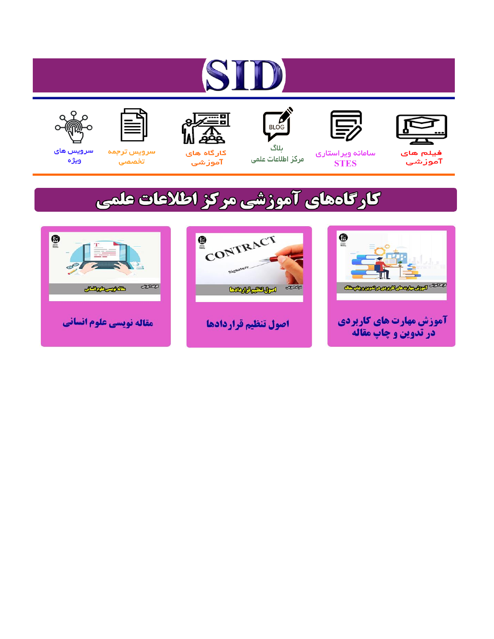# ST











ىلاگ



مرکز اطلاعات علمی

 $\frac{1}{\sqrt{\frac{1}{100}}}$ 

Cologie Legislation

کارگاه های آموزشي

空

ققق

 $\begin{matrix} \textcircled{\footnotesize{A}}\\ \textcircled{\footnotesize{B}} \end{matrix}$ 

سرويس ترجمه تخصصى



سرویس های ويژه

كارگاههای آموزشی مركز اطلاعات علمی

CONTRACT

اصول تنظيم قراردادها



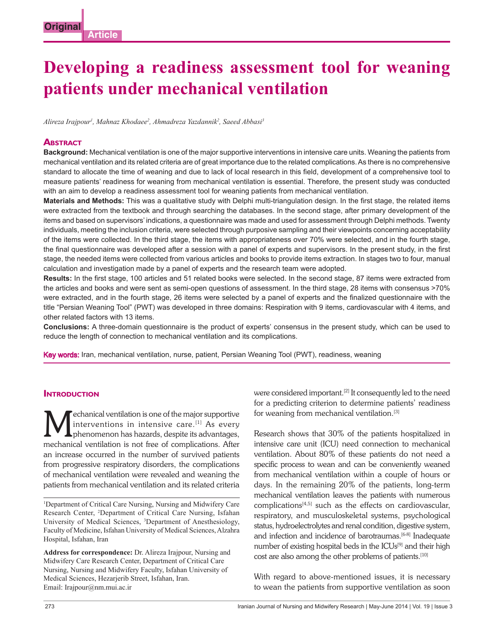### **Developing a readiness assessment tool for weaning patients under mechanical ventilation**

Alireza Irajpour<sup>i</sup>, Mahnaz Khodaee<sup>2</sup>, Ahmadreza Yazdannik<sup>2</sup>, Saeed Abbasi<sup>3</sup>

#### **ABSTRACT**

**Background:** Mechanical ventilation is one of the major supportive interventions in intensive care units. Weaning the patients from mechanical ventilation and its related criteria are of great importance due to the related complications. As there is no comprehensive standard to allocate the time of weaning and due to lack of local research in this field, development of a comprehensive tool to measure patients' readiness for weaning from mechanical ventilation is essential. Therefore, the present study was conducted with an aim to develop a readiness assessment tool for weaning patients from mechanical ventilation.

From the metallity and the complete that with the search that we are the particular that the particular that the particular tend of the complete that the textbook and through a reading the diabases. In the second state, th Materials and Methods: This was a qualitative study with Delphi multi-triangulation design. In the first stage, the related items were extracted from the textbook and through searching the databases. In the second stage, after primary development of the items and based on supervisors' indications, a questionnaire was made and used for assessment through Delphi methods. Twenty individuals, meeting the inclusion criteria, were selected through purposive sampling and their view points concerning acceptability of the items were collected. In the third stage, the items with appropriateness over 70% were selected, and in the fourth stage, the final questionnaire was developed after a session with a panel of experts and supervisors. In the present study, in the first stage, the needed items were collected from various articles and books to provide items extraction. In stages two to four, manual calculation and investigation made by a panel of experts and the research team were adopted.

Results: In the first stage, 100 articles and 51 related books were selected. In the second stage, 87 items were extracted from the articles and books and were sent as semi-open questions of assessment. In the third stage, 28 items with consensus >70% were extracted, and in the fourth stage, 26 items were selected by a panel of experts and the finalized questionnaire with the title "Persian Weaning Tool" (PWT) was developed in three domains: Respiration with 9 items, cardiovascular with 4 items, and other related factors with 13 items.

**Conclusions:** A three-domain questionnaire is the product of experts' consensus in the present study, which can be used to reduce the length of connection to mechanical ventilation and its complications.<br>
Key words: Iran, mechanical ventilation, nurse, patient, Persian Weaning Tool (PWT), readiness, weaning

#### **INTRODUCTION**

Mechanical ventilation is one of the major supportive<br>interventions in intensive care.<sup>[1]</sup> As every<br>phenomenon has hazards, despite its advantages, interventions in intensive care.<sup>[1]</sup> As every phenomenon has hazards, despite its advantages, mechanical ventilation is not free of complications. After an increase occurred in the number of survived patients from progressive respiratory disorders, the complications of mechanical ventilation were revealed and weaning the patients from mechanical ventilation and its related criteria

<sup>1</sup>Department of Critical Care Nursing, Nursing and Midwifery Care Research Center, 2 Department of Critical Care Nursing, Isfahan University of Medical Sciences, 3 Department of Anesthesiology, Faculty of Medicine, Isfahan University of Medical Sciences, Alzahra Hospital, Isfahan, Iran

**Address for correspondence:** Dr. Alireza Irajpour, Nursing and Midwifery Care Research Center, Department of Critical Care Nursing, Nursing and Midwifery Faculty, Isfahan University of Medical Sciences, Hezarjerib Street, Isfahan, Iran. Email: Irajpour@nm.mui.ac.ir

were considered important.<sup>[2]</sup> It consequently led to the need for a predicting criterion to determine patients' readiness for weaning from mechanical ventilation.<sup>[3]</sup>

Vepartment of Critical Care Nursing, Nursing and Midwifery Care<br>
Research Centr, <sup>2</sup>Department of Critical Care Nursing, Isfahan<br>
Traviersity of Medical Sciences, Alzahra<br>
Traviersity of Medical Sciences, Alzahra<br>
Midwifer Research shows that 30% of the patients hospitalized in intensive care unit (ICU) need connection to mechanical ventilation. About 80% of these patients do not need a specific process to wean and can be conveniently weaned from mechanical ventilation within a couple of hours or days. In the remaining 20% of the patients, long-term mechanical ventilation leaves the patients with numerous complications[4,5] such as the effects on cardiovascular, respiratory, and musculoskeletal systems, psychological status, hydroelectrolytes and renal condition, digestive system, and infection and incidence of barotraumas.<sup>[6-8]</sup> Inadequate number of existing hospital beds in the ICUs<sup>[9]</sup> and their high cost are also among the other problems of patients.[10]

With regard to above-mentioned issues, it is necessary to wean the patients from supportive ventilation as soon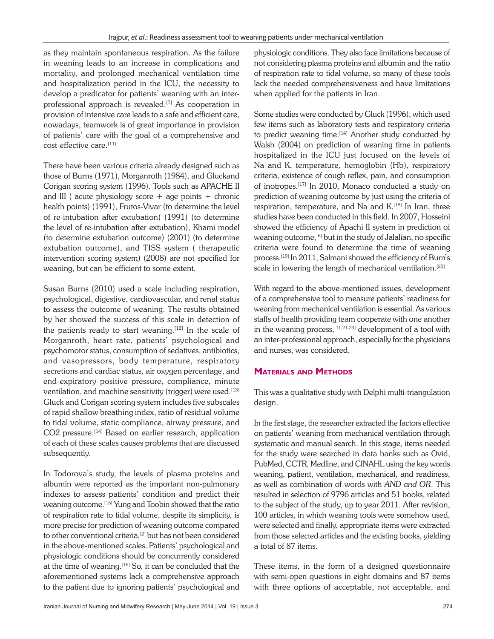as they maintain spontaneous respiration. As the failure in weaning leads to an increase in complications and mortality, and prolonged mechanical ventilation time and hospitalization period in the ICU, the necessity to develop a predicator for patients' weaning with an interprofessional approach is revealed.<sup>[7]</sup> As cooperation in provision of intensive care leads to a safe and efficient care, nowadays, teamwork is of great importance in provision of patients' care with the goal of a comprehensive and cost-effective care.<sup>[11]</sup>

There have been various criteria already designed such as those of Burns (1971), Morganroth (1984), and Gluckand Corigan scoring system (1996). Tools such as APACHE II and III ( acute physiology score  $+$  age points  $+$  chronic health points) (1991), Frutos-Vivar (to determine the level of re-intubation after extubation) (1991) (to determine the level of re-intubation after extubation), Khami model (to determine extubation outcome) (2001) (to determine extubation outcome), and TISS system ( therapeutic intervention scoring system) (2008) are not specified for weaning, but can be efficient to some extent.

71), Morganroth (1984), and Gluckard<br>
retricts, paint<br>
restricts at the SINCHE of indices and come by the state of courts<br>
styliology score + age points + chronic prediction of weaning out come by that<br>
11), Frutos-Vivar Susan Burns (2010) used a scale including respiration, psychological, digestive, cardiovascular, and renal status to assess the outcome of weaning. The results obtained by her showed the success of this scale in detection of the patients ready to start weaning.<sup>[12]</sup> In the scale of Morganroth, heart rate, patients' psychological and psychomotor status, consumption of sedatives, antibiotics, and vasopressors, body temperature, respiratory secretions and cardiac status, air oxygen percentage, and end-expiratory positive pressure, compliance, minute ventilation, and machine sensitivity (trigger) were used.<sup>[13]</sup> Gluck and Corigan scoring system includes five subscales of rapid shallow breathing index, ratio of residual volume to tidal volume, static compliance, airway pressure, and CO2 pressure.<sup>[14]</sup> Based on earlier research, application of each of these scales causes problems that are discussed subsequently.

In Todorova's study, the levels of plasma proteins and albumin were reported as the important non-pulmonary indexes to assess patients' condition and predict their weaning outcome.[15] Yung and Toobin showed that the ratio of respiration rate to tidal volume, despite its simplicity, is more precise for prediction of weaning outcome compared to other conventional criteria,<sup>[2]</sup> but has not been considered in the above-mentioned scales. Patients' psychological and physiologic conditions should be concurrently considered at the time of weaning.[16] So, it can be concluded that the aforementioned systems lack a comprehensive approach to the patient due to ignoring patients' psychological and physiologic conditions. They also face limitations because of not considering plasma proteins and albumin and the ratio of respiration rate to tidal volume, so many of these tools lack the needed comprehensiveness and have limitations when applied for the patients in Iran.

Some studies were conducted by Gluck (1996), which used few items such as laboratory tests and respiratory criteria to predict weaning time.<sup>[14]</sup> Another study conducted by Walsh (2004) on prediction of weaning time in patients hospitalized in the ICU just focused on the levels of Na and K, temperature, hemoglobin (Hb), respiratory criteria, existence of cough reflex, pain, and consumption of inotropes.[17] In 2010, Monaco conducted a study on prediction of weaning outcome by just using the criteria of respiration, temperature, and Na and K.<sup>[18]</sup> In Iran, three studies have been conducted in this field. In 2007, Hosseini showed the efficiency of Apachi II system in prediction of weaning outcome,<sup>[6]</sup> but in the study of Jalalian, no specific criteria were found to determine the time of weaning process.[19] In 2011, Salmani showed the efficiency of Burn's scale in lowering the length of mechanical ventilation.<sup>[20]</sup>

With regard to the above-mentioned issues, development of a comprehensive tool to measure patients' readiness for weaning from mechanical ventilation is essential. As various staffs of health providing team cooperate with one another in the weaning process,  $[11,21-23]$  development of a tool with an inter-professional approach, especially for the physicians and nurses, was considered.

### **MATERIALS AND METHODS**

This was a qualitative study with Delphi multi-triangulation design.

In the first stage, the researcher extracted the factors effective on patients' weaning from mechanical ventilation through systematic and manual search. In this stage, items needed for the study were searched in data banks such as Ovid, PubMed, CCTR, Medline, and CINAHL using the key words weaning, patient, ventilation, mechanical, and readiness, as well as combination of words with *AND and OR*. This resulted in selection of 9796 articles and 51 books, related to the subject of the study, up to year 2011. After revision, 100 articles, in which weaning tools were somehow used, were selected and finally, appropriate items were extracted from those selected articles and the existing books, yielding a total of 87 items.

These items, in the form of a designed questionnaire with semi-open questions in eight domains and 87 items with three options of acceptable, not acceptable, and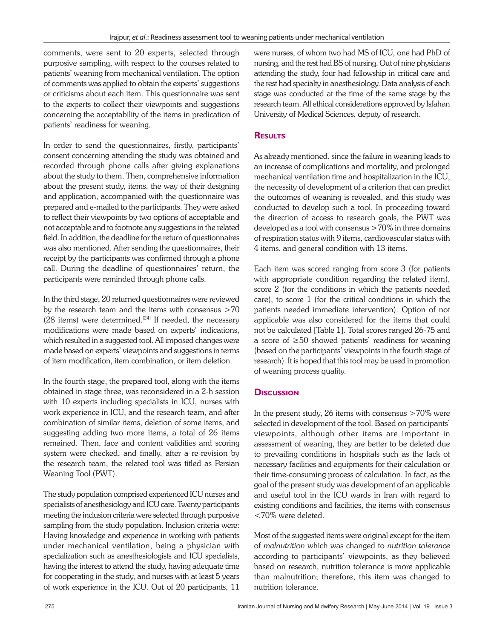comments, were sent to 20 experts, selected through purposive sampling, with respect to the courses related to patients' weaning from mechanical ventilation. The option of comments was applied to obtain the experts' suggestions or criticisms about each item. This questionnaire was sent to the experts to collect their viewpoints and suggestions concerning the acceptability of the items in predication of patients' readiness for weaning.

them. Then, comprehensive information<br>
them. Then, in way of their designing<br>
the mecassing of development of a recent attacking the set of the<br>
ided to the participants. They were asked conducted to develop such<br>
a reduc In order to send the questionnaires, firstly, participants' consent concerning attending the study was obtained and recorded through phone calls after giving explanations about the study to them. Then, comprehensive information about the present study, items, the way of their designing and application, accompanied with the questionnaire was prepared and e-mailed to the participants. They were asked to reflect their viewpoints by two options of acceptable and not acceptable and to footnote any suggestions in the related field. In addition, the deadline for the return of questionnaires was also mentioned. After sending the questionnaires, their receipt by the participants was confirmed through a phone call. During the deadline of questionnaires' return, the participants were reminded through phone calls.

In the third stage, 20 returned questionnaires were reviewed by the research team and the items with consensus >70 (28 items) were determined.<sup>[24]</sup> If needed, the necessary modifications were made based on experts' indications, which resulted in a suggested tool. All imposed changes were made based on experts' viewpoints and suggestions in terms of item modification, item combination, or item deletion.

In the fourth stage, the prepared tool, along with the items obtained in stage three, was reconsidered in a 2-h session with 10 experts including specialists in ICU, nurses with work experience in ICU, and the research team, and after combination of similar items, deletion of some items, and suggesting adding two more items, a total of 26 items remained. Then, face and content validities and scoring system were checked, and finally, after a re-revision by the research team, the related tool was titled as Persian Weaning Tool (PWT).

The study population comprised experienced ICU nurses and specialists of anesthesiology and ICU care. Twenty participants meeting the inclusion criteria were selected through purposive sampling from the study population. Inclusion criteria were: Having knowledge and experience in working with patients under mechanical ventilation, being a physician with specialization such as anesthesiologists and ICU specialists, having the interest to attend the study, having adequate time for cooperating in the study, and nurses with at least 5 years of work experience in the ICU. Out of 20 participants, 11 were nurses, of whom two had MS of ICU, one had PhD of nursing, and the rest had BS of nursing. Out of nine physicians attending the study, four had fellowship in critical care and the rest had specialty in anesthesiology. Data analysis of each stage was conducted at the time of the same stage by the research team. All ethical considerations approved by Isfahan University of Medical Sciences, deputy of research.

### **RESULTS**

As already mentioned, since the failure in weaning leads to an increase of complications and mortality, and prolonged mechanical ventilation time and hospitalization in the ICU, the necessity of development of a criterion that can predict the outcomes of weaning is revealed, and this study was conducted to develop such a tool. In proceeding toward the direction of access to research goals, the PWT was developed as a tool with consensus >70% in three domains of respiration status with 9 items, cardiovascular status with 4 items, and general condition with 13 items.

Each item was scored ranging from score 3 (for patients with appropriate condition regarding the related item), score 2 (for the conditions in which the patients needed care), to score 1 (for the critical conditions in which the patients needed immediate intervention). Option of not applicable was also considered for the items that could not be calculated [Table 1]. Total scores ranged 26-75 and a score of ≥50 showed patients' readiness for weaning (based on the participants' viewpoints in the fourth stage of research). It is hoped that this tool may be used in promotion of weaning process quality.

### **DISCUSSION**

In the present study, 26 items with consensus  $>70\%$  were selected in development of the tool. Based on participants' viewpoints, although other items are important in assessment of weaning, they are better to be deleted due to prevailing conditions in hospitals such as the lack of necessary facilities and equipments for their calculation or their time-consuming process of calculation. In fact, as the goal of the present study was development of an applicable and useful tool in the ICU wards in Iran with regard to existing conditions and facilities, the items with consensus <70% were deleted.

Most of the suggested items were original except for the item of *malnutrition* which was changed to *nutrition tolerance* according to participants' viewpoints, as they believed based on research, nutrition tolerance is more applicable than malnutrition; therefore, this item was changed to nutrition tolerance.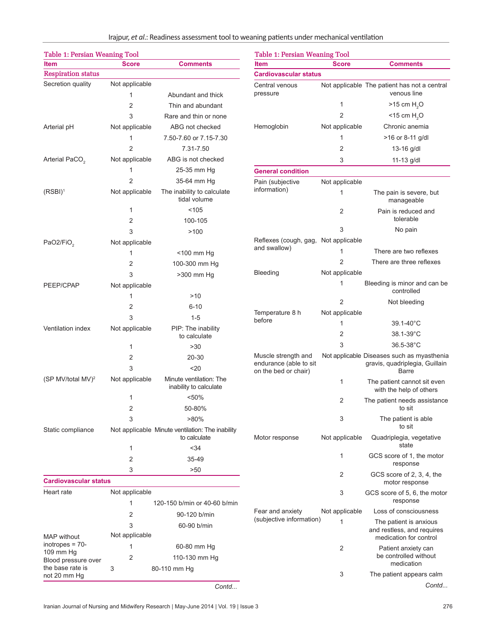Irajpur, et al.: Readiness assessment tool to weaning patients under mechanical ventilation

| <b>Table 1: Persian Weaning Tool</b>                  |                     |                                                              | <b>Table 1: Persian Weaning Tool</b>                 |                |                                                                                |
|-------------------------------------------------------|---------------------|--------------------------------------------------------------|------------------------------------------------------|----------------|--------------------------------------------------------------------------------|
| <b>Item</b>                                           | <b>Score</b>        | <b>Comments</b>                                              | <b>Item</b>                                          | <b>Score</b>   | <b>Comments</b>                                                                |
| Respiration status                                    |                     |                                                              | <b>Cardiovascular status</b>                         |                |                                                                                |
| Secretion quality                                     | Not applicable<br>1 | Abundant and thick                                           | Central venous<br>pressure                           |                | Not applicable The patient has not a central<br>venous line                    |
|                                                       | 2                   | Thin and abundant                                            |                                                      | 1              | $>15$ cm $H2O$                                                                 |
|                                                       | 3                   | Rare and thin or none                                        |                                                      | 2              | $<$ 15 cm H <sub>2</sub> O                                                     |
| Arterial pH                                           | Not applicable      | ABG not checked                                              | Hemoglobin                                           | Not applicable | Chronic anemia                                                                 |
|                                                       | 1                   | 7.50-7.60 or 7.15-7.30                                       |                                                      | 1              | >16 or 8-11 g/dl                                                               |
|                                                       | $\overline{2}$      | 7.31-7.50                                                    |                                                      | 2              | 13-16 g/dl                                                                     |
| Arterial PaCO <sub>2</sub>                            | Not applicable      | ABG is not checked                                           |                                                      | 3              | 11-13 g/dl                                                                     |
|                                                       | 1                   | 25-35 mm Hg                                                  | <b>General condition</b>                             |                |                                                                                |
|                                                       | 2                   | 35-64 mm Hg                                                  | Pain (subjective                                     | Not applicable |                                                                                |
| $(RSBI)^1$                                            | Not applicable      | The inability to calculate<br>tidal volume                   | information)                                         |                | The pain is severe, but<br>manageable                                          |
|                                                       | 1                   | < 105                                                        |                                                      |                | Pain is reduced and                                                            |
|                                                       | 2                   | 100-105                                                      |                                                      |                | tolerable                                                                      |
|                                                       | 3                   | >100                                                         |                                                      |                | No pain                                                                        |
| PaO2/FiO <sub>2</sub>                                 | Not applicable      |                                                              | Reflexes (cough, gag, Not applicable<br>and swallow) |                |                                                                                |
|                                                       | 1                   | <100 mm Hg                                                   |                                                      |                | There are two reflexes                                                         |
|                                                       | 2                   | 100-300 mm Hg                                                |                                                      | 2              | There are three reflexes                                                       |
|                                                       | 3                   | >300 mm Hg                                                   | Bleeding                                             | Not applicable |                                                                                |
| PEEP/CPAP                                             | Not applicable      |                                                              |                                                      | 1              | Bleeding is minor and can be<br>controlled                                     |
|                                                       | 1                   | >10                                                          |                                                      | 2              | Not bleeding                                                                   |
|                                                       | 2                   | $6 - 10$                                                     | Temperature 8 h                                      | Not applicable |                                                                                |
|                                                       | 3                   | $1 - 5$                                                      | before                                               | 1              | $39.1 - 40^{\circ}$ C                                                          |
| Ventilation index                                     | Not applicable      | PIP: The inability                                           |                                                      | 2              | 38.1-39°C                                                                      |
|                                                       |                     | to calculate                                                 |                                                      | 3              | $36.5 - 38^{\circ}$ C                                                          |
|                                                       | 1                   | >30                                                          | Muscle strength and                                  |                | Not applicable Diseases such as myasthenia                                     |
|                                                       | 2<br>3              | $20 - 30$<br>20 <sub>o</sub>                                 | endurance (able to sit<br>on the bed or chair)       |                | gravis, quadriplegia, Guillain<br><b>Barre</b>                                 |
| (SP MV/total MV) <sup>2</sup>                         | Not applicable      | Minute ventilation: The<br>inability to calculate            |                                                      | 1              | The patient cannot sit even<br>with the help of others                         |
|                                                       |                     | k50%<br>50-80%                                               |                                                      | 2              | The patient needs assistance<br>to sit                                         |
| Static compliance                                     |                     | $>80\%$<br>Not applicable. Minute ventilation: The inability |                                                      | 3              | The patient is able<br>to sit                                                  |
|                                                       |                     | to calculate<br>< 34                                         | Motor response                                       | Not applicable | Quadriplegia, vegetative<br>state                                              |
|                                                       | 2                   | 35-49                                                        |                                                      | 1              | GCS score of 1, the motor<br>response                                          |
| <b>Cardiovascular status</b>                          | 3                   | >50                                                          |                                                      | 2              | GCS score of 2, 3, 4, the<br>motor response                                    |
| Heart rate                                            | Not applicable      |                                                              |                                                      | 3              | GCS score of 5, 6, the motor                                                   |
|                                                       | 1                   | 120-150 b/min or 40-60 b/min                                 |                                                      |                | response                                                                       |
|                                                       | 2                   | 90-120 b/min                                                 | Fear and anxiety<br>(subjective information)         | Not applicable | Loss of consciousness                                                          |
| <b>MAP</b> without                                    | 3<br>Not applicable | 60-90 b/min                                                  |                                                      | 1              | The patient is anxious<br>and restless, and requires<br>medication for control |
| inotropes = $70-$<br>109 mm Hg<br>Blood pressure over | 1<br>2              | 60-80 mm Hg<br>110-130 mm Hg                                 |                                                      | 2              | Patient anxiety can<br>be controlled without                                   |
| the base rate is                                      | 3                   | 80-110 mm Hg                                                 |                                                      |                | medication                                                                     |
| not 20 mm Hg                                          |                     |                                                              |                                                      | 3              | The patient appears calm                                                       |
|                                                       |                     | Contd                                                        |                                                      |                | Contd                                                                          |

<www.SID.ir>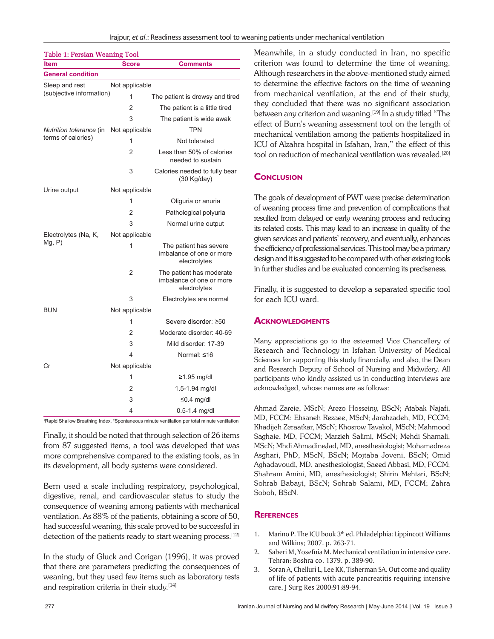| Table 1: Persian Weaning Tool                                                                                        |                                            |                                                                                                                          | Meanwhile, in a study conducted in                                                                                                                                                           |  |
|----------------------------------------------------------------------------------------------------------------------|--------------------------------------------|--------------------------------------------------------------------------------------------------------------------------|----------------------------------------------------------------------------------------------------------------------------------------------------------------------------------------------|--|
| <b>Comments</b><br><b>Item</b><br>Score                                                                              |                                            |                                                                                                                          | criterion was found to determine the                                                                                                                                                         |  |
| <b>General condition</b>                                                                                             |                                            |                                                                                                                          | Although researchers in the above-ment                                                                                                                                                       |  |
| Sleep and rest<br>(subjective information)                                                                           | Not applicable                             |                                                                                                                          | to determine the effective factors on th                                                                                                                                                     |  |
|                                                                                                                      | 1                                          | The patient is drowsy and tired                                                                                          | from mechanical ventilation, at the e<br>they concluded that there was no sign                                                                                                               |  |
|                                                                                                                      | $\overline{2}$                             | The patient is a little tired                                                                                            |                                                                                                                                                                                              |  |
|                                                                                                                      | 3                                          | The patient is wide awak                                                                                                 | between any criterion and weaning. <sup>[19]</sup> In                                                                                                                                        |  |
| Nutrition tolerance (in Not applicable<br>terms of calories)                                                         |                                            | <b>TPN</b>                                                                                                               | effect of Burn's weaning assessment to<br>mechanical ventilation among the pation<br>ICU of Alzahra hospital in Isfahan, Iran                                                                |  |
|                                                                                                                      | 1                                          | Not tolerated                                                                                                            |                                                                                                                                                                                              |  |
|                                                                                                                      | $\overline{2}$                             | Less than 50% of calories<br>needed to sustain                                                                           | tool on reduction of mechanical ventilati                                                                                                                                                    |  |
|                                                                                                                      | 3                                          | Calories needed to fully bear<br>$(30$ Kg/day)                                                                           | <b>CONCLUSION</b>                                                                                                                                                                            |  |
| Urine output                                                                                                         | Not applicable                             |                                                                                                                          |                                                                                                                                                                                              |  |
|                                                                                                                      | 1                                          | Oliguria or anuria                                                                                                       | The goals of development of PWT were pr                                                                                                                                                      |  |
|                                                                                                                      | 2                                          | Pathological polyuria                                                                                                    | of weaning process time and prevention o<br>resulted from delayed or early weaning pr<br>its related costs. This may lead to an incre                                                        |  |
|                                                                                                                      | 3                                          | Normal urine output                                                                                                      |                                                                                                                                                                                              |  |
| Electrolytes (Na, K,                                                                                                 | Not applicable                             |                                                                                                                          | given services and patients' recovery, and a                                                                                                                                                 |  |
| Mg, P)                                                                                                               | 1                                          | The patient has severe<br>imbalance of one or more<br>electrolytes                                                       | the efficiency of professional services. This to<br>design and it is suggested to be compared wi<br>in further studies and be evaluated concer<br>Finally, it is suggested to develop a sep. |  |
|                                                                                                                      | $\overline{2}$                             | The patient has moderate<br>imbalance of one or more<br>electrolytes                                                     |                                                                                                                                                                                              |  |
|                                                                                                                      | 3                                          | Electrolytes are normal                                                                                                  | for each ICU ward.                                                                                                                                                                           |  |
| <b>BUN</b>                                                                                                           | Not applicable                             |                                                                                                                          |                                                                                                                                                                                              |  |
|                                                                                                                      | 1                                          | Severe disorder: ≥50                                                                                                     | ACKNOWLEDGMENTS                                                                                                                                                                              |  |
|                                                                                                                      | Moderate disorder: 40-69<br>$\overline{2}$ |                                                                                                                          |                                                                                                                                                                                              |  |
|                                                                                                                      | 3                                          | Mild disorder: 17-39                                                                                                     | Many appreciations go to the esteemed                                                                                                                                                        |  |
|                                                                                                                      | 4                                          | Normal: ≤16                                                                                                              | Research and Technology in Isfahan Ur                                                                                                                                                        |  |
| Cr                                                                                                                   | Not applicable                             |                                                                                                                          | Sciences for supporting this study financially<br>and Research Deputy of School of Nursing                                                                                                   |  |
|                                                                                                                      | 1                                          | ≥1.95 mg/dł                                                                                                              | participants who kindly assisted us in cond                                                                                                                                                  |  |
|                                                                                                                      | 1.5-1.94 mg/dl<br>2                        |                                                                                                                          | acknowledged, whose names are as follows                                                                                                                                                     |  |
|                                                                                                                      | 3                                          | ≤0.4 mg/dl                                                                                                               |                                                                                                                                                                                              |  |
|                                                                                                                      | $0.5 - 1.4$ mg/dl                          |                                                                                                                          | Ahmad Zareie, MScN; Arezo Hosseiny, B                                                                                                                                                        |  |
| <sup>1</sup> Rapid Shallow Breathing Index, <sup>2</sup> Spontaneous minute ventilation per total minute ventilation |                                            | MD, FCCM; Ehsaneh Rezaee, MScN; Jaral                                                                                    |                                                                                                                                                                                              |  |
|                                                                                                                      |                                            | Finally, it should be noted that through selection of 26 items<br>from 87 suggested items, a tool was developed that was | Khadijeh Zeraatkar, MScN; Khosrow Tavak<br>Saghaie, MD, FCCM; Marzieh Salimi, MS<br>MScN; Mhdi AhmadineJad, MD, anesthesio                                                                   |  |
|                                                                                                                      |                                            | $\blacksquare$                                                                                                           | $\lambda$ 1 $\cdot$ DID MC M DC M M $\cdot$ 1 I                                                                                                                                              |  |

Finally, it should be noted that through selection of 26 items from 87 suggested items, a tool was developed that was more comprehensive compared to the existing tools, as in its development, all body systems were considered.

Bern used a scale including respiratory, psychological, digestive, renal, and cardiovascular status to study the consequence of weaning among patients with mechanical ventilation. As 88% of the patients, obtaining a score of 50, had successful weaning, this scale proved to be successful in detection of the patients ready to start weaning process.<sup>[12]</sup>

In the study of Gluck and Corigan (1996), it was proved that there are parameters predicting the consequences of weaning, but they used few items such as laboratory tests and respiration criteria in their study.<sup>[14]</sup>

Meanwhile, in a study conducted in Iran, no specific criterion was found to determine the time of weaning. Although researchers in the above-mentioned study aimed to determine the effective factors on the time of weaning from mechanical ventilation, at the end of their study, they concluded that there was no significant association between any criterion and weaning.<sup>[19]</sup> In a study titled "The effect of Burn's weaning assessment tool on the length of mechanical ventilation among the patients hospitalized in ICU of Alzahra hospital in Isfahan, Iran," the effect of this tool on reduction of mechanical ventilation was revealed.<sup>[20]</sup>

### **CONCLUSION**

The goals of development of PWT were precise determination of weaning process time and prevention of complications that resulted from delayed or early weaning process and reducing its related costs. This may lead to an increase in quality of the given services and patients' recovery, and eventually, enhances the efficiency of professional services. This tool may be a primary design and it is suggested to be compared with other existing tools in further studies and be evaluated concerning its preciseness.

Finally, it is suggested to develop a separated specific tool for each ICU ward.

### **ACKNOWLEDGMENTS**

Many appreciations go to the esteemed Vice Chancellery of Research and Technology in Isfahan University of Medical Sciences for supporting this study financially, and also, the Dean and Research Deputy of School of Nursing and Midwifery. All participants who kindly assisted us in conducting interviews are acknowledged, whose names are as follows:

Ahmad Zareie, MScN; Arezo Hosseiny, BScN; Atabak Najafi, MD, FCCM; Ehsaneh Rezaee, MScN; Jarahzadeh, MD, FCCM; Khadijeh Zeraatkar, MScN; Khosrow Tavakol, MScN; Mahmood Saghaie, MD, FCCM; Marzieh Salimi, MScN; Mehdi Shamali, MScN; Mhdi AhmadineJad, MD, anesthesiologist; Mohamadreza Asghari, PhD, MScN, BScN; Mojtaba Joveni, BScN; Omid Aghadavoudi, MD, anesthesiologist; Saeed Abbasi, MD, FCCM; Shahram Amini, MD, anesthesiologist; Shirin Mehtari, BScN; Sohrab Babayi, BScN; Sohrab Salami, MD, FCCM; Zahra Soboh, BScN.

### **REFERENCES**

- 1. Marino P. The ICU book  $3<sup>th</sup>$  ed. Philadelphia: Lippincott Williams and Wilkins; 2007. p. 263-71.
- 2. Saberi M, Yosefnia M. Mechanical ventilation in intensive care. Tehran: Boshra co. 1379. p. 389-90.
- 3. Soran A, Chelluri L, Lee KK, Tisherman SA. Out come and quality of life of patients with acute pancreatitis requiring intensive care, J Surg Res 2000;91:89-94.

<www.SID.ir>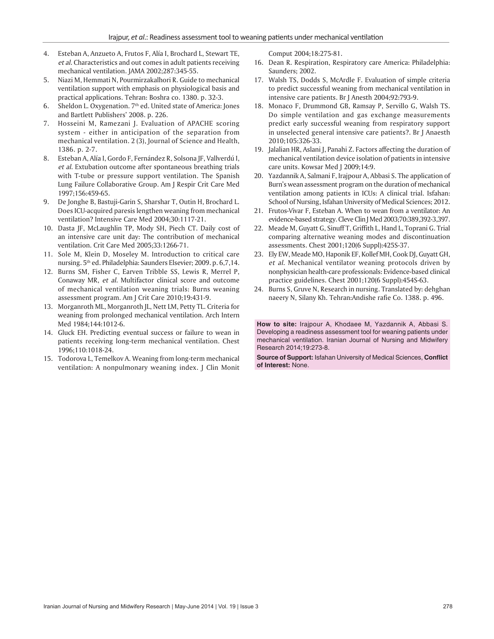- 4. Esteban A, Anzueto A, Frutos F, Alía I, Brochard L, Stewart TE, *et al*. Characteristics and out comes in adult patients receiving mechanical ventilation. JAMA 2002;287:345-55.
- 5. Niazi M, Hemmati N, Pourmirzakalhori R. Guide to mechanical ventilation support with emphasis on physiological basis and practical applications. Tehran: Boshra co. 1380. p. 32-3.
- 6. Sheldon L. Oxygenation.  $7<sup>th</sup>$  ed. United state of America: Jones and Bartlett Publishers' 2008. p. 226.
- 7. Hosseini M, Ramezani J. Evaluation of APACHE scoring system - either in anticipation of the separation from mechanical ventilation. 2 (3), Journal of Science and Health, 1386. p. 2-7.
- 8. Esteban A, Alía I, Gordo F, Fernández R, Solsona JF, Vallverdú I, *et al*. Extubation outcome after spontaneous breathing trials with T-tube or pressure support ventilation. The Spanish Lung Failure Collaborative Group. Am J Respir Crit Care Med 1997;156:459-65.
- 9. De Jonghe B, Bastuji-Garin S, Sharshar T, Outin H, Brochard L. Does ICU-acquired paresis lengthen weaning from mechanical ventilation? Intensive Care Med 2004;30:1117-21.
- 10. Dasta JF, McLaughlin TP, Mody SH, Piech CT. Daily cost of an intensive care unit day: The contribution of mechanical ventilation. Crit Care Med 2005;33:1266-71.
- 11. Sole M, Klein D, Moseley M. Introduction to critical care nursing. 5th ed. Philadelphia: Saunders Elsevier; 2009. p. 6,7,14.
- Tressure support ventilation. The Spanish A. Shamanni F. Happoor A. Abbasson (Abbasson Controllation and Discounts Controllation and the scheme of the state of American Controllation and the scheme of the scheme of Apple C 12. Burns SM, Fisher C, Earven Tribble SS, Lewis R, Merrel P, Conaway MR, *et al*. Multifactor clinical score and outcome of mechanical ventilation weaning trials: Burns weaning assessment program. Am J Crit Care 2010;19:431-9.
- 13. Morganroth ML, Morganroth JL, Nett LM, Petty TL. Criteria for weaning from prolonged mechanical ventilation. Arch Intern Med 1984;144:1012-6.
- 14. Gluck EH. Predicting eventual success or failure to wean in patients receiving long-term mechanical ventilation. Chest 1996;110:1018-24.
- 15. Todorova L, Temelkov A. Weaning from long-term mechanical ventilation: A nonpulmonary weaning index. J Clin Monit

Comput 2004;18:275-81.

- 16. Dean R. Respiration, Respiratory care America: Philadelphia: Saunders; 2002.
- 17. Walsh TS, Dodds S, McArdle F. Evaluation of simple criteria to predict successful weaning from mechanical ventilation in intensive care patients. Br J Anesth 2004;92:793-9.
- 18. Monaco F, Drummond GB, Ramsay P, Servillo G, Walsh TS. Do simple ventilation and gas exchange measurements predict early successful weaning from respiratory support in unselected general intensive care patients?. Br J Anaesth 2010;105:326-33.
- 19. Jalalian HR, Aslani J, Panahi Z. Factors affecting the duration of mechanical ventilation device isolation of patients in intensive care units. Kowsar Med J 2009;14:9.
- 20. Yazdannik A, Salmani F, Irajpour A, Abbasi S. The application of Burn's wean assessment program on the duration of mechanical ventilation among patients in ICUs: A clinical trial. Isfahan: School of Nursing, Isfahan University of Medical Sciences; 2012.
- 21. Frutos-Vivar F, Esteban A. When to wean from a ventilator: An evidence-based strategy. Cleve Clin J Med 2003;70:389,392-3,397.
- 22. Meade M, Guyatt G, Sinuff T, Griffith L, Hand L, Toprani G. Trial comparing alternative weaning modes and discontinuation assessments. Chest 2001;120(6 Suppl):425S-37.
- 23. Ely EW, Meade MO, Haponik EF, Kollef MH, Cook DJ, Guyatt GH, *et al*. Mechanical ventilator weaning protocols driven by nonphysician health-care professionals: Evidence-based clinical practice guidelines. Chest 2001;120(6 Suppl):454S-63.
- 24. Burns S, Gruve N, Research in nursing. Translated by: dehghan naeery N, Silany Kh. Tehran:Andishe rafie Co. 1388. p. 496.

**How to site:** Irajpour A, Khodaee M, Yazdannik A, Abbasi S. Developing a readiness assessment tool for weaning patients under mechanical ventilation. Iranian Journal of Nursing and Midwifery Research 2014;19:273-8.

**Source of Support:** Isfahan University of Medical Sciences, **Con fl ict of Interest:** None.